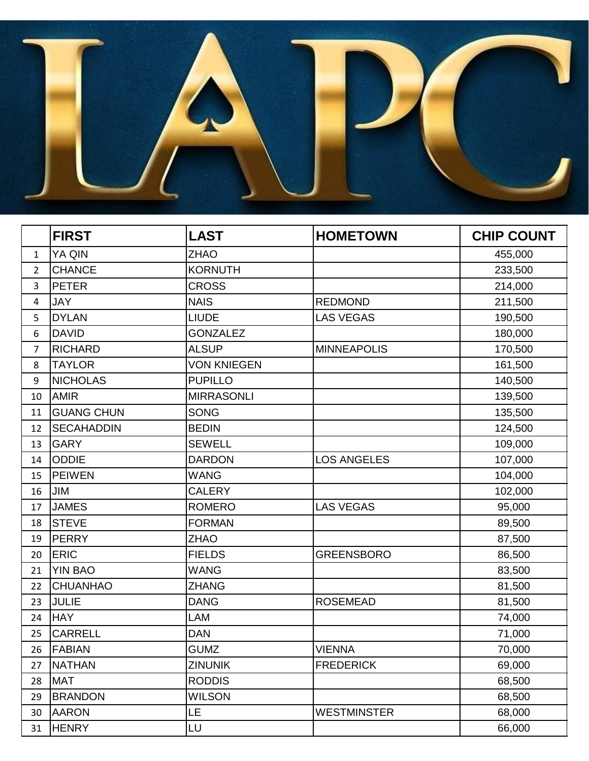

|                | <b>FIRST</b>      | <b>LAST</b>        | <b>HOMETOWN</b>    | <b>CHIP COUNT</b> |
|----------------|-------------------|--------------------|--------------------|-------------------|
| $\mathbf{1}$   | YA QIN            | <b>ZHAO</b>        |                    | 455,000           |
| $\overline{2}$ | <b>CHANCE</b>     | <b>KORNUTH</b>     |                    | 233,500           |
| 3              | <b>PETER</b>      | <b>CROSS</b>       |                    | 214,000           |
| 4              | JAY               | <b>NAIS</b>        | <b>REDMOND</b>     | 211,500           |
| 5              | <b>DYLAN</b>      | <b>LIUDE</b>       | <b>LAS VEGAS</b>   | 190,500           |
| 6              | <b>DAVID</b>      | <b>GONZALEZ</b>    |                    | 180,000           |
| $\overline{7}$ | <b>RICHARD</b>    | <b>ALSUP</b>       | <b>MINNEAPOLIS</b> | 170,500           |
| 8              | <b>TAYLOR</b>     | <b>VON KNIEGEN</b> |                    | 161,500           |
| 9              | <b>NICHOLAS</b>   | <b>PUPILLO</b>     |                    | 140,500           |
| 10             | <b>AMIR</b>       | <b>MIRRASONLI</b>  |                    | 139,500           |
| 11             | <b>GUANG CHUN</b> | <b>SONG</b>        |                    | 135,500           |
| 12             | <b>SECAHADDIN</b> | <b>BEDIN</b>       |                    | 124,500           |
| 13             | <b>GARY</b>       | <b>SEWELL</b>      |                    | 109,000           |
| 14             | <b>ODDIE</b>      | <b>DARDON</b>      | <b>LOS ANGELES</b> | 107,000           |
| 15             | <b>PEIWEN</b>     | <b>WANG</b>        |                    | 104,000           |
| 16             | JIM               | <b>CALERY</b>      |                    | 102,000           |
| 17             | <b>JAMES</b>      | <b>ROMERO</b>      | <b>LAS VEGAS</b>   | 95,000            |
| 18             | <b>STEVE</b>      | <b>FORMAN</b>      |                    | 89,500            |
| 19             | <b>PERRY</b>      | <b>ZHAO</b>        |                    | 87,500            |
| 20             | <b>ERIC</b>       | <b>FIELDS</b>      | <b>GREENSBORO</b>  | 86,500            |
| 21             | <b>YIN BAO</b>    | <b>WANG</b>        |                    | 83,500            |
| 22             | <b>CHUANHAO</b>   | <b>ZHANG</b>       |                    | 81,500            |
| 23             | <b>JULIE</b>      | <b>DANG</b>        | <b>ROSEMEAD</b>    | 81,500            |
| 24             | <b>HAY</b>        | LAM                |                    | 74,000            |
| 25             | <b>CARRELL</b>    | <b>DAN</b>         |                    | 71,000            |
| 26             | <b>FABIAN</b>     | <b>GUMZ</b>        | <b>VIENNA</b>      | 70,000            |
| 27             | <b>NATHAN</b>     | <b>ZINUNIK</b>     | <b>FREDERICK</b>   | 69,000            |
| 28             | <b>MAT</b>        | <b>RODDIS</b>      |                    | 68,500            |
| 29             | <b>BRANDON</b>    | <b>WILSON</b>      |                    | 68,500            |
| 30             | <b>AARON</b>      | LE                 | <b>WESTMINSTER</b> | 68,000            |
| 31             | <b>HENRY</b>      | LU                 |                    | 66,000            |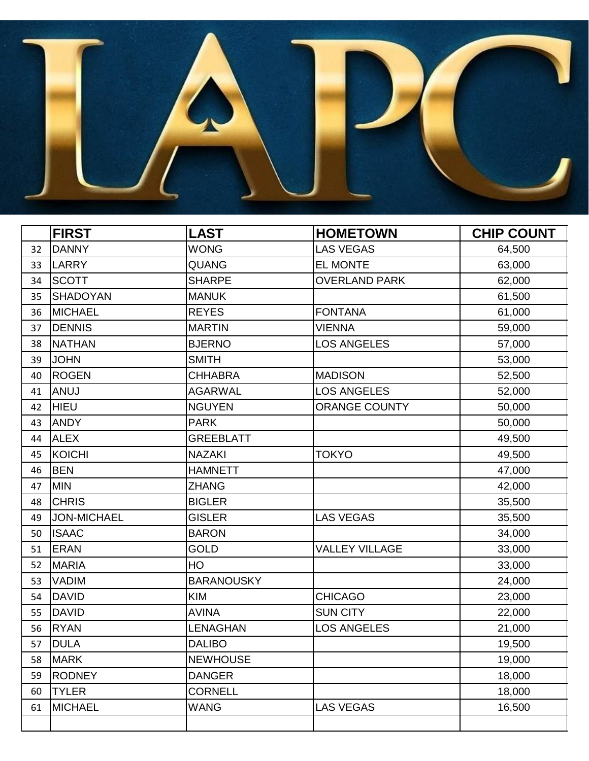

|    | <b>FIRST</b>    | <b>LAST</b>       | <b>HOMETOWN</b>       | <b>CHIP COUNT</b> |
|----|-----------------|-------------------|-----------------------|-------------------|
| 32 | <b>DANNY</b>    | <b>WONG</b>       | <b>LAS VEGAS</b>      | 64,500            |
| 33 | <b>LARRY</b>    | QUANG             | EL MONTE              | 63,000            |
| 34 | <b>SCOTT</b>    | <b>SHARPE</b>     | <b>OVERLAND PARK</b>  | 62,000            |
| 35 | <b>SHADOYAN</b> | <b>MANUK</b>      |                       | 61,500            |
| 36 | MICHAEL         | <b>REYES</b>      | <b>FONTANA</b>        | 61,000            |
| 37 | <b>DENNIS</b>   | <b>MARTIN</b>     | <b>VIENNA</b>         | 59,000            |
| 38 | <b>NATHAN</b>   | <b>BJERNO</b>     | <b>LOS ANGELES</b>    | 57,000            |
| 39 | <b>JOHN</b>     | <b>SMITH</b>      |                       | 53,000            |
| 40 | <b>ROGEN</b>    | <b>CHHABRA</b>    | <b>MADISON</b>        | 52,500            |
| 41 | <b>ANUJ</b>     | <b>AGARWAL</b>    | <b>LOS ANGELES</b>    | 52,000            |
| 42 | <b>HIEU</b>     | <b>NGUYEN</b>     | <b>ORANGE COUNTY</b>  | 50,000            |
| 43 | ANDY            | <b>PARK</b>       |                       | 50,000            |
| 44 | <b>ALEX</b>     | <b>GREEBLATT</b>  |                       | 49,500            |
| 45 | <b>KOICHI</b>   | <b>NAZAKI</b>     | <b>TOKYO</b>          | 49,500            |
| 46 | <b>BEN</b>      | <b>HAMNETT</b>    |                       | 47,000            |
| 47 | <b>MIN</b>      | <b>ZHANG</b>      |                       | 42,000            |
| 48 | <b>CHRIS</b>    | <b>BIGLER</b>     |                       | 35,500            |
| 49 | JON-MICHAEL     | <b>GISLER</b>     | <b>LAS VEGAS</b>      | 35,500            |
| 50 | <b>ISAAC</b>    | <b>BARON</b>      |                       | 34,000            |
| 51 | <b>ERAN</b>     | <b>GOLD</b>       | <b>VALLEY VILLAGE</b> | 33,000            |
| 52 | MARIA           | HO                |                       | 33,000            |
| 53 | <b>VADIM</b>    | <b>BARANOUSKY</b> |                       | 24,000            |
| 54 | <b>DAVID</b>    | <b>KIM</b>        | <b>CHICAGO</b>        | 23,000            |
| 55 | <b>DAVID</b>    | <b>AVINA</b>      | <b>SUN CITY</b>       | 22,000            |
| 56 | <b>RYAN</b>     | <b>LENAGHAN</b>   | <b>LOS ANGELES</b>    | 21,000            |
| 57 | <b>DULA</b>     | <b>DALIBO</b>     |                       | 19,500            |
| 58 | <b>MARK</b>     | <b>NEWHOUSE</b>   |                       | 19,000            |
| 59 | <b>RODNEY</b>   | <b>DANGER</b>     |                       | 18,000            |
| 60 | <b>TYLER</b>    | <b>CORNELL</b>    |                       | 18,000            |
| 61 | <b>MICHAEL</b>  | <b>WANG</b>       | <b>LAS VEGAS</b>      | 16,500            |
|    |                 |                   |                       |                   |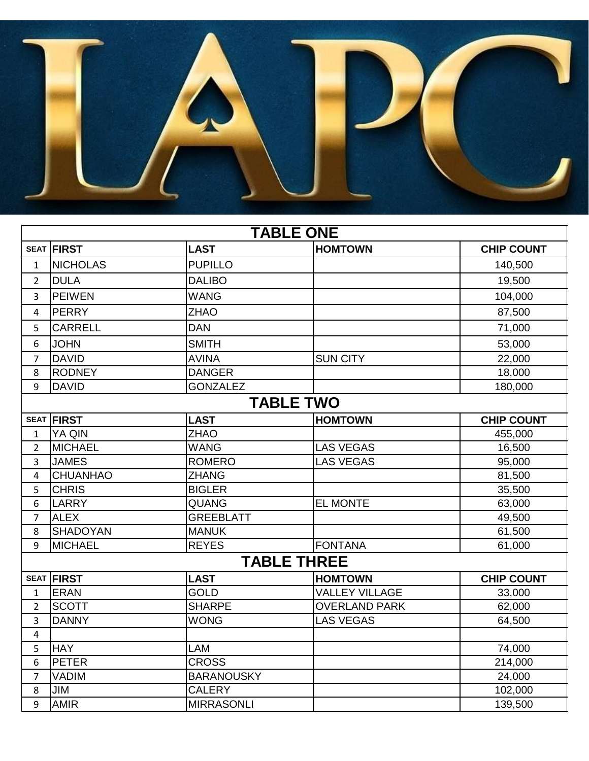

| <b>TABLE ONE</b>   |                   |                   |                       |                   |
|--------------------|-------------------|-------------------|-----------------------|-------------------|
|                    | <b>SEAT FIRST</b> | <b>LAST</b>       | <b>HOMTOWN</b>        | <b>CHIP COUNT</b> |
| $\mathbf{1}$       | <b>NICHOLAS</b>   | <b>PUPILLO</b>    |                       | 140,500           |
| $\overline{2}$     | <b>DULA</b>       | <b>DALIBO</b>     |                       | 19,500            |
| 3                  | <b>PEIWEN</b>     | <b>WANG</b>       |                       | 104,000           |
| 4                  | <b>PERRY</b>      | <b>ZHAO</b>       |                       | 87,500            |
| 5                  | <b>CARRELL</b>    | <b>DAN</b>        |                       | 71,000            |
| 6                  | <b>JOHN</b>       | <b>SMITH</b>      |                       | 53,000            |
| $\overline{7}$     | <b>DAVID</b>      | <b>AVINA</b>      | <b>SUN CITY</b>       | 22,000            |
| 8                  | <b>RODNEY</b>     | <b>DANGER</b>     |                       | 18,000            |
| 9                  | <b>DAVID</b>      | <b>GONZALEZ</b>   |                       | 180,000           |
|                    |                   | <b>TABLE TWO</b>  |                       |                   |
| <b>SEAT</b>        | <b>FIRST</b>      | <b>LAST</b>       | <b>HOMTOWN</b>        | <b>CHIP COUNT</b> |
| $\mathbf{1}$       | YA QIN            | <b>ZHAO</b>       |                       | 455,000           |
| $\overline{2}$     | <b>MICHAEL</b>    | <b>WANG</b>       | <b>LAS VEGAS</b>      | 16,500            |
| 3                  | <b>JAMES</b>      | <b>ROMERO</b>     | <b>LAS VEGAS</b>      | 95,000            |
| 4                  | <b>CHUANHAO</b>   | <b>ZHANG</b>      |                       | 81,500            |
| 5                  | <b>CHRIS</b>      | <b>BIGLER</b>     |                       | 35,500            |
| 6                  | <b>LARRY</b>      | <b>QUANG</b>      | <b>EL MONTE</b>       | 63,000            |
| $\overline{7}$     | <b>ALEX</b>       | <b>GREEBLATT</b>  |                       | 49,500            |
| 8                  | <b>SHADOYAN</b>   | <b>MANUK</b>      |                       | 61,500            |
| 9                  | <b>MICHAEL</b>    | <b>REYES</b>      | <b>FONTANA</b>        | 61,000            |
| <b>TABLE THREE</b> |                   |                   |                       |                   |
|                    | <b>SEAT FIRST</b> | <b>LAST</b>       | <b>HOMTOWN</b>        | <b>CHIP COUNT</b> |
| 1                  | <b>ERAN</b>       | <b>GOLD</b>       | <b>VALLEY VILLAGE</b> | 33,000            |
| $\overline{2}$     | <b>SCOTT</b>      | <b>SHARPE</b>     | <b>OVERLAND PARK</b>  | 62,000            |
| 3                  | <b>DANNY</b>      | <b>WONG</b>       | <b>LAS VEGAS</b>      | 64,500            |
| 4                  |                   |                   |                       |                   |
| 5                  | <b>HAY</b>        | <b>LAM</b>        |                       | 74,000            |
| 6                  | <b>PETER</b>      | <b>CROSS</b>      |                       | 214,000           |
| $\overline{7}$     | <b>VADIM</b>      | <b>BARANOUSKY</b> |                       | 24,000            |
| 8                  | JIM               | <b>CALERY</b>     |                       | 102,000           |
| 9                  | <b>AMIR</b>       | <b>MIRRASONLI</b> |                       | 139,500           |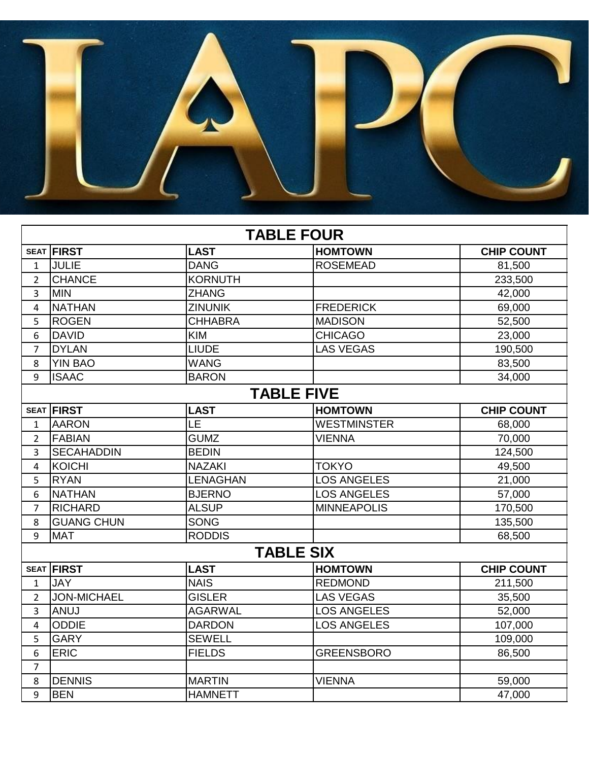

| <b>TABLE FOUR</b> |                    |                 |                    |                   |  |
|-------------------|--------------------|-----------------|--------------------|-------------------|--|
|                   | <b>SEAT FIRST</b>  | <b>LAST</b>     | <b>HOMTOWN</b>     | <b>CHIP COUNT</b> |  |
| $\mathbf{1}$      | <b>JULIE</b>       | <b>DANG</b>     | <b>ROSEMEAD</b>    | 81,500            |  |
| $\overline{2}$    | <b>CHANCE</b>      | <b>KORNUTH</b>  |                    | 233,500           |  |
| 3                 | <b>MIN</b>         | <b>ZHANG</b>    |                    | 42,000            |  |
| 4                 | <b>NATHAN</b>      | <b>ZINUNIK</b>  | <b>FREDERICK</b>   | 69,000            |  |
| 5                 | <b>ROGEN</b>       | <b>CHHABRA</b>  | <b>MADISON</b>     | 52,500            |  |
| 6                 | <b>DAVID</b>       | <b>KIM</b>      | <b>CHICAGO</b>     | 23,000            |  |
| $\overline{7}$    | <b>DYLAN</b>       | <b>LIUDE</b>    | <b>LAS VEGAS</b>   | 190,500           |  |
| 8                 | <b>YIN BAO</b>     | <b>WANG</b>     |                    | 83,500            |  |
| 9                 | <b>ISAAC</b>       | <b>BARON</b>    |                    | 34,000            |  |
|                   | <b>TABLE FIVE</b>  |                 |                    |                   |  |
|                   | <b>SEAT FIRST</b>  | <b>LAST</b>     | <b>HOMTOWN</b>     | <b>CHIP COUNT</b> |  |
| 1                 | <b>AARON</b>       | LE              | <b>WESTMINSTER</b> | 68,000            |  |
| $\overline{2}$    | <b>FABIAN</b>      | <b>GUMZ</b>     | <b>VIENNA</b>      | 70,000            |  |
| 3                 | <b>SECAHADDIN</b>  | <b>BEDIN</b>    |                    | 124,500           |  |
| 4                 | <b>KOICHI</b>      | <b>NAZAKI</b>   | <b>TOKYO</b>       | 49,500            |  |
| 5                 | <b>RYAN</b>        | <b>LENAGHAN</b> | <b>LOS ANGELES</b> | 21,000            |  |
| 6                 | <b>NATHAN</b>      | <b>BJERNO</b>   | <b>LOS ANGELES</b> | 57,000            |  |
| $\overline{7}$    | <b>RICHARD</b>     | <b>ALSUP</b>    | <b>MINNEAPOLIS</b> | 170,500           |  |
| 8                 | <b>GUANG CHUN</b>  | <b>SONG</b>     |                    | 135,500           |  |
| 9                 | <b>MAT</b>         | <b>RODDIS</b>   |                    | 68,500            |  |
| <b>TABLE SIX</b>  |                    |                 |                    |                   |  |
|                   | <b>SEAT FIRST</b>  | <b>LAST</b>     | <b>HOMTOWN</b>     | <b>CHIP COUNT</b> |  |
| 1                 | <b>JAY</b>         | <b>NAIS</b>     | <b>REDMOND</b>     | 211,500           |  |
| $\overline{2}$    | <b>JON-MICHAEL</b> | <b>GISLER</b>   | <b>LAS VEGAS</b>   | 35,500            |  |
| 3                 | <b>ANUJ</b>        | <b>AGARWAL</b>  | <b>LOS ANGELES</b> | 52,000            |  |
| 4                 | <b>ODDIE</b>       | <b>DARDON</b>   | <b>LOS ANGELES</b> | 107,000           |  |
| 5                 | <b>GARY</b>        | <b>SEWELL</b>   |                    | 109,000           |  |
| 6                 | <b>ERIC</b>        | <b>FIELDS</b>   | <b>GREENSBORO</b>  | 86,500            |  |
| $\overline{7}$    |                    |                 |                    |                   |  |
| 8                 | <b>DENNIS</b>      | <b>MARTIN</b>   | <b>VIENNA</b>      | 59,000            |  |
| 9                 | <b>BEN</b>         | <b>HAMNETT</b>  |                    | 47,000            |  |